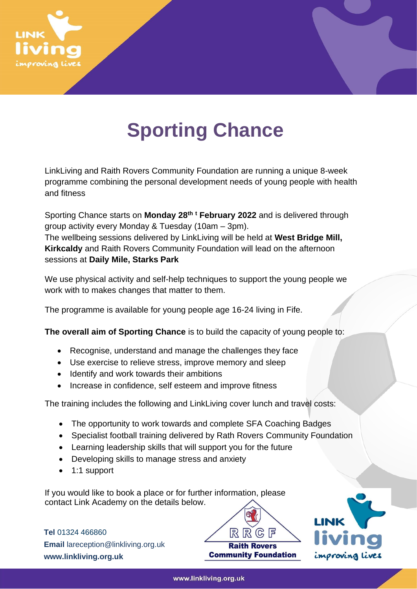

## **Sporting Chance**

LinkLiving and Raith Rovers Community Foundation are running a unique 8-week programme combining the personal development needs of young people with health and fitness

Sporting Chance starts on **Monday 28 th <sup>t</sup> February 2022** and is delivered through group activity every Monday & Tuesday (10am – 3pm). The wellbeing sessions delivered by LinkLiving will be held at **West Bridge Mill, Kirkcaldy** and Raith Rovers Community Foundation will lead on the afternoon sessions at **Daily Mile, Starks Park**

We use physical activity and self-help techniques to support the young people we work with to makes changes that matter to them.

The programme is available for young people age 16-24 living in Fife.

**The overall aim of Sporting Chance** is to build the capacity of young people to:

- Recognise, understand and manage the challenges they face
- Use exercise to relieve stress, improve memory and sleep
- Identify and work towards their ambitions
- Increase in confidence, self esteem and improve fitness

The training includes the following and LinkLiving cover lunch and travel costs:

- The opportunity to work towards and complete SFA Coaching Badges
- Specialist football training delivered by Rath Rovers Community Foundation
- Learning leadership skills that will support you for the future
- Developing skills to manage stress and anxiety
- 1:1 support

If you would like to book a place or for further information, please contact Link Academy on the details below.

**Tel** 01324 466860 **Email** lareception@linkliving.org.uk **www.linkliving.org.uk**



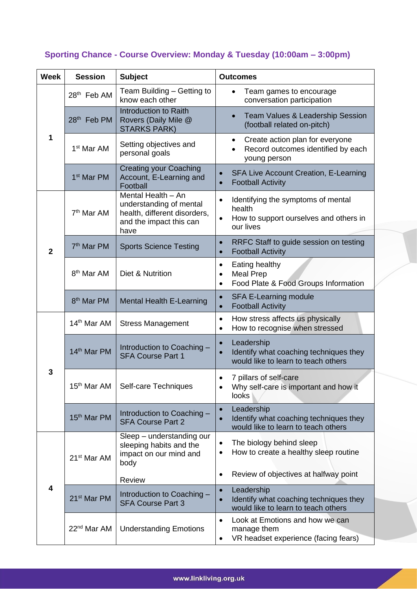## **Sporting Chance - Course Overview: Monday & Tuesday (10:00am – 3:00pm)**

| <b>Week</b>             | <b>Session</b>          | <b>Subject</b>                                                                                                   | <b>Outcomes</b>                                                                                                       |
|-------------------------|-------------------------|------------------------------------------------------------------------------------------------------------------|-----------------------------------------------------------------------------------------------------------------------|
| 1                       | 28 <sup>th</sup> Feb AM | Team Building - Getting to<br>know each other                                                                    | Team games to encourage<br>$\bullet$<br>conversation participation                                                    |
|                         | 28 <sup>th</sup> Feb PM | Introduction to Raith<br>Rovers (Daily Mile @<br><b>STARKS PARK)</b>                                             | Team Values & Leadership Session<br>$\bullet$<br>(football related on-pitch)                                          |
|                         | 1 <sup>st</sup> Mar AM  | Setting objectives and<br>personal goals                                                                         | Create action plan for everyone<br>٠<br>Record outcomes identified by each<br>$\bullet$<br>young person               |
|                         | 1 <sup>st</sup> Mar PM  | <b>Creating your Coaching</b><br>Account, E-Learning and<br>Football                                             | <b>SFA Live Account Creation, E-Learning</b><br><b>Football Activity</b>                                              |
| $\overline{2}$          | 7 <sup>th</sup> Mar AM  | Mental Health - An<br>understanding of mental<br>health, different disorders,<br>and the impact this can<br>have | Identifying the symptoms of mental<br>$\bullet$<br>health<br>How to support ourselves and others in<br>our lives      |
|                         | 7 <sup>th</sup> Mar PM  | <b>Sports Science Testing</b>                                                                                    | RRFC Staff to guide session on testing<br>$\bullet$<br><b>Football Activity</b><br>$\bullet$                          |
|                         | 8 <sup>th</sup> Mar AM  | Diet & Nutrition                                                                                                 | Eating healthy<br>$\bullet$<br><b>Meal Prep</b><br>$\bullet$<br>Food Plate & Food Groups Information<br>$\bullet$     |
|                         | 8 <sup>th</sup> Mar PM  | <b>Mental Health E-Learning</b>                                                                                  | <b>SFA E-Learning module</b><br>$\bullet$<br><b>Football Activity</b><br>$\bullet$                                    |
| 3                       | 14 <sup>th</sup> Mar AM | <b>Stress Management</b>                                                                                         | How stress affects us physically<br>$\bullet$<br>How to recognise when stressed<br>$\bullet$                          |
|                         | 14 <sup>th</sup> Mar PM | Introduction to Coaching -<br><b>SFA Course Part 1</b>                                                           | Leadership<br>$\bullet$<br>Identify what coaching techniques they<br>$\bullet$<br>would like to learn to teach others |
|                         | 15 <sup>th</sup> Mar AM | Self-care Techniques                                                                                             | 7 pillars of self-care<br>Why self-care is important and how it<br>looks                                              |
|                         | 15 <sup>th</sup> Mar PM | Introduction to Coaching -<br><b>SFA Course Part 2</b>                                                           | Leadership<br>$\bullet$<br>Identify what coaching techniques they<br>$\bullet$<br>would like to learn to teach others |
| $\overline{\mathbf{4}}$ | 21 <sup>st</sup> Mar AM | Sleep - understanding our<br>sleeping habits and the<br>impact on our mind and<br>body                           | The biology behind sleep<br>$\bullet$<br>How to create a healthy sleep routine<br>٠                                   |
|                         |                         | Review                                                                                                           | Review of objectives at halfway point<br>$\bullet$                                                                    |
|                         | 21 <sup>st</sup> Mar PM | Introduction to Coaching -<br><b>SFA Course Part 3</b>                                                           | Leadership<br>$\bullet$<br>Identify what coaching techniques they<br>$\bullet$<br>would like to learn to teach others |
|                         | 22 <sup>nd</sup> Mar AM | <b>Understanding Emotions</b>                                                                                    | Look at Emotions and how we can<br>$\bullet$<br>manage them<br>VR headset experience (facing fears)<br>$\bullet$      |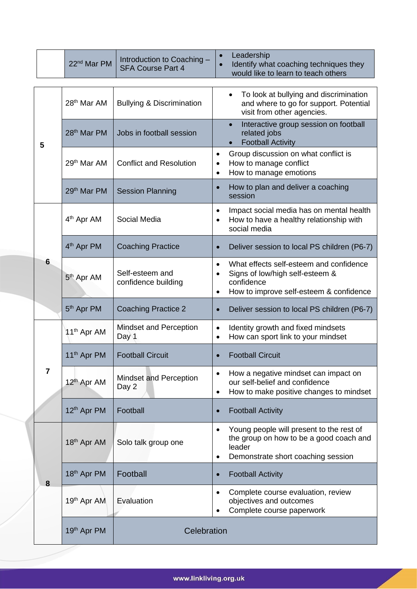|   | 22 <sup>nd</sup> Mar PM | Introduction to Coaching -<br><b>SFA Course Part 4</b> | Leadership<br>Identify what coaching techniques they<br>would like to learn to teach others                                                                                |
|---|-------------------------|--------------------------------------------------------|----------------------------------------------------------------------------------------------------------------------------------------------------------------------------|
| 5 | 28 <sup>th</sup> Mar AM | <b>Bullying &amp; Discrimination</b>                   | To look at bullying and discrimination<br>$\bullet$<br>and where to go for support. Potential<br>visit from other agencies.                                                |
|   | 28 <sup>th</sup> Mar PM | Jobs in football session                               | Interactive group session on football<br>related jobs<br><b>Football Activity</b><br>$\bullet$                                                                             |
|   | 29 <sup>th</sup> Mar AM | <b>Conflict and Resolution</b>                         | Group discussion on what conflict is<br>$\bullet$<br>How to manage conflict<br>$\bullet$<br>How to manage emotions<br>$\bullet$                                            |
|   | 29th Mar PM             | <b>Session Planning</b>                                | How to plan and deliver a coaching<br>session                                                                                                                              |
|   | 4 <sup>th</sup> Apr AM  | Social Media                                           | Impact social media has on mental health<br>$\bullet$<br>How to have a healthy relationship with<br>social media                                                           |
|   | 4 <sup>th</sup> Apr PM  | <b>Coaching Practice</b>                               | Deliver session to local PS children (P6-7)<br>$\bullet$                                                                                                                   |
| 6 | 5 <sup>th</sup> Apr AM  | Self-esteem and<br>confidence building                 | What effects self-esteem and confidence<br>$\bullet$<br>Signs of low/high self-esteem &<br>$\bullet$<br>confidence<br>How to improve self-esteem & confidence<br>$\bullet$ |
|   | 5 <sup>th</sup> Apr PM  | <b>Coaching Practice 2</b>                             | Deliver session to local PS children (P6-7)<br>$\bullet$                                                                                                                   |
|   | 11 <sup>th</sup> Apr AM | Mindset and Perception<br>Day <sup>1</sup>             | Identity growth and fixed mindsets<br>$\bullet$<br>How can sport link to your mindset<br>$\bullet$                                                                         |
| 7 | 11 <sup>th</sup> Apr PM | <b>Football Circuit</b>                                | <b>Football Circuit</b>                                                                                                                                                    |
|   | 12 <sup>th</sup> Apr AM | Mindset and Perception<br>Day 2                        | How a negative mindset can impact on<br>$\bullet$<br>our self-belief and confidence<br>How to make positive changes to mindset<br>$\bullet$                                |
|   | 12 <sup>th</sup> Apr PM | Football                                               | <b>Football Activity</b><br>$\bullet$                                                                                                                                      |
|   | 18 <sup>th</sup> Apr AM | Solo talk group one                                    | Young people will present to the rest of<br>$\bullet$<br>the group on how to be a good coach and<br>leader<br>Demonstrate short coaching session<br>٠                      |
| 8 | 18 <sup>th</sup> Apr PM | Football                                               | <b>Football Activity</b><br>$\bullet$                                                                                                                                      |
|   | 19th Apr AM             | Evaluation                                             | Complete course evaluation, review<br>$\bullet$<br>objectives and outcomes<br>Complete course paperwork                                                                    |
|   | 19 <sup>th</sup> Apr PM | Celebration                                            |                                                                                                                                                                            |